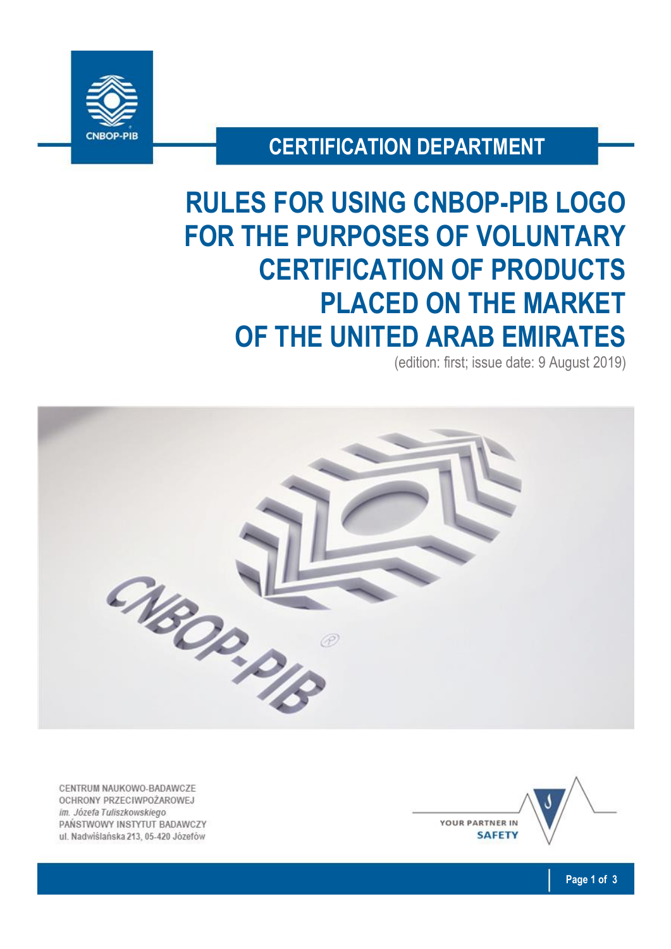

# **CERTIFICATION DEPARTMENT**

# **RULES FOR USING CNBOP-PIB LOGO FOR THE PURPOSES OF VOLUNTARY CERTIFICATION OF PRODUCTS PLACED ON THE MARKET OF THE UNITED ARAB EMIRATES**

(edition: first; issue date: 9 August 2019)



CENTRUM NAUKOWO-BADAWCZE OCHRONY PRZECIWPOŻAROWEJ im. Józefa Tuliszkowskiego PAŃSTWOWY INSTYTUT BADAWCZY ul. Nadwiślańska 213, 05-420 Józefów

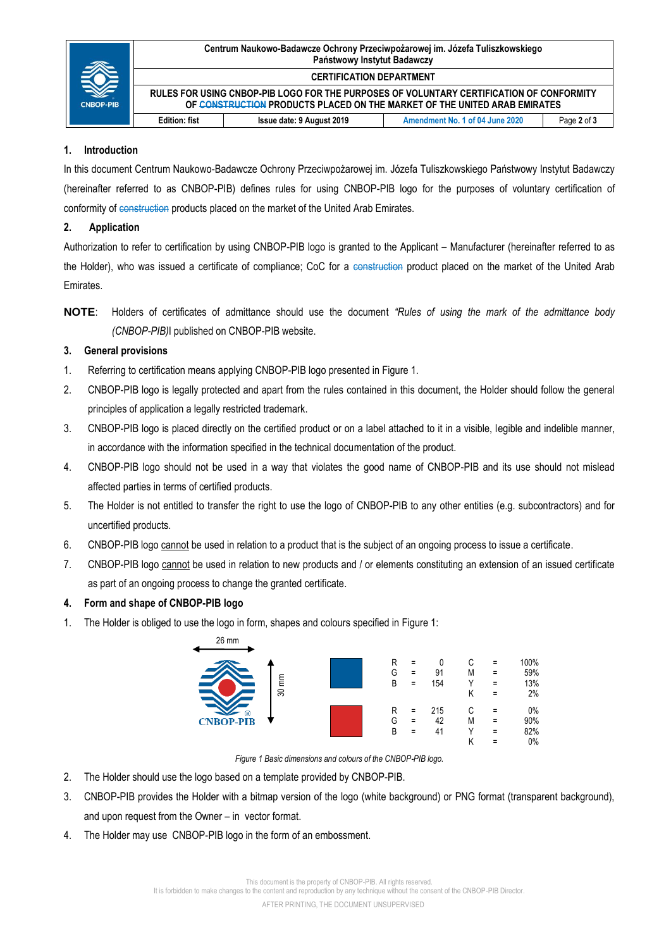| <b>CNBOP-PIB</b> | Centrum Naukowo-Badawcze Ochrony Przeciwpożarowej im. Józefa Tuliszkowskiego<br>Państwowy Instytut Badawczy                                                           |                           |                                 |             |
|------------------|-----------------------------------------------------------------------------------------------------------------------------------------------------------------------|---------------------------|---------------------------------|-------------|
|                  | <b>CERTIFICATION DEPARTMENT</b>                                                                                                                                       |                           |                                 |             |
|                  | RULES FOR USING CNBOP-PIB LOGO FOR THE PURPOSES OF VOLUNTARY CERTIFICATION OF CONFORMITY<br>OF CONSTRUCTION PRODUCTS PLACED ON THE MARKET OF THE UNITED ARAB EMIRATES |                           |                                 |             |
|                  | <b>Edition: fist</b>                                                                                                                                                  | Issue date: 9 August 2019 | Amendment No. 1 of 04 June 2020 | Page 2 of 3 |

#### **1. Introduction**

In this document Centrum Naukowo-Badawcze Ochrony Przeciwpożarowej im. Józefa Tuliszkowskiego Państwowy Instytut Badawczy (hereinafter referred to as CNBOP-PIB) defines rules for using CNBOP-PIB logo for the purposes of voluntary certification of conformity of construction products placed on the market of the United Arab Emirates.

#### **2. Application**

Authorization to refer to certification by using CNBOP-PIB logo is granted to the Applicant – Manufacturer (hereinafter referred to as the Holder), who was issued a certificate of compliance; CoC for a construction product placed on the market of the United Arab Emirates.

**NOTE**: Holders of certificates of admittance should use the document *"Rules of using the mark of the admittance body (CNBOP-PIB)*I published on CNBOP-PIB website.

## **3. General provisions**

- 1. Referring to certification means applying CNBOP-PIB logo presented in Figure 1.
- 2. CNBOP-PIB logo is legally protected and apart from the rules contained in this document, the Holder should follow the general principles of application a legally restricted trademark.
- 3. CNBOP-PIB logo is placed directly on the certified product or on a label attached to it in a visible, legible and indelible manner, in accordance with the information specified in the technical documentation of the product.
- 4. CNBOP-PIB logo should not be used in a way that violates the good name of CNBOP-PIB and its use should not mislead affected parties in terms of certified products.
- 5. The Holder is not entitled to transfer the right to use the logo of CNBOP-PIB to any other entities (e.g. subcontractors) and for uncertified products.
- 6. CNBOP-PIB logo cannot be used in relation to a product that is the subject of an ongoing process to issue a certificate.
- 7. CNBOP-PIB logo cannot be used in relation to new products and / or elements constituting an extension of an issued certificate as part of an ongoing process to change the granted certificate.

## **4. Form and shape of CNBOP-PIB logo**

1. The Holder is obliged to use the logo in form, shapes and colours specified in Figure 1:



*Figure 1 Basic dimensions and colours of the CNBOP-PIB logo.*

- 2. The Holder should use the logo based on a template provided by CNBOP-PIB.
- 3. CNBOP-PIB provides the Holder with a bitmap version of the logo (white background) or PNG format (transparent background), and upon request from the Owner – in vector format.
- 4. The Holder may use CNBOP-PIB logo in the form of an embossment.

It is forbidden to make changes to the content and reproduction by any technique without the consent of the CNBOP-PIB Director.